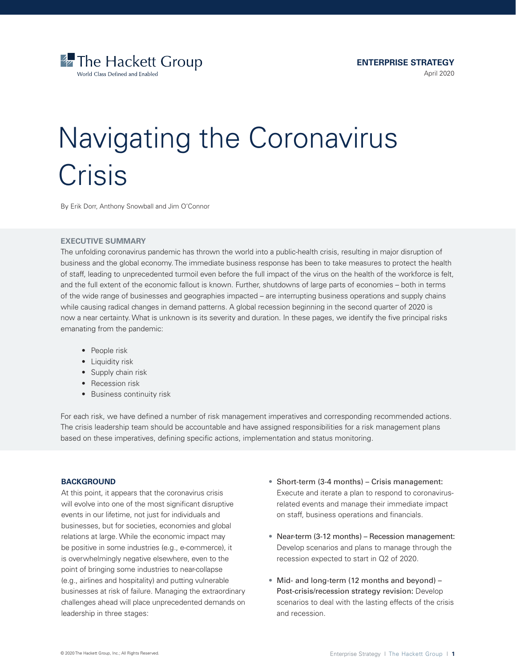

# Navigating the Coronavirus **Crisis**

By Erik Dorr, Anthony Snowball and Jim O'Connor

# **EXECUTIVE SUMMARY**

The unfolding coronavirus pandemic has thrown the world into a public-health crisis, resulting in major disruption of business and the global economy. The immediate business response has been to take measures to protect the health of staff, leading to unprecedented turmoil even before the full impact of the virus on the health of the workforce is felt, and the full extent of the economic fallout is known. Further, shutdowns of large parts of economies – both in terms of the wide range of businesses and geographies impacted – are interrupting business operations and supply chains while causing radical changes in demand patterns. A global recession beginning in the second quarter of 2020 is now a near certainty. What is unknown is its severity and duration. In these pages, we identify the five principal risks emanating from the pandemic:

- People risk
- Liquidity risk
- Supply chain risk
- Recession risk
- Business continuity risk

For each risk, we have defined a number of risk management imperatives and corresponding recommended actions. The crisis leadership team should be accountable and have assigned responsibilities for a risk management plans based on these imperatives, defining specific actions, implementation and status monitoring.

# **BACKGROUND**

At this point, it appears that the coronavirus crisis will evolve into one of the most significant disruptive events in our lifetime, not just for individuals and businesses, but for societies, economies and global relations at large. While the economic impact may be positive in some industries (e.g., e-commerce), it is overwhelmingly negative elsewhere, even to the point of bringing some industries to near-collapse (e.g., airlines and hospitality) and putting vulnerable businesses at risk of failure. Managing the extraordinary challenges ahead will place unprecedented demands on leadership in three stages:

- Short-term (3-4 months) Crisis management: Execute and iterate a plan to respond to coronavirusrelated events and manage their immediate impact on staff, business operations and financials.
- Near-term (3-12 months) Recession management: Develop scenarios and plans to manage through the recession expected to start in Q2 of 2020.
- Mid- and long-term (12 months and beyond) Post-crisis/recession strategy revision: Develop scenarios to deal with the lasting effects of the crisis and recession.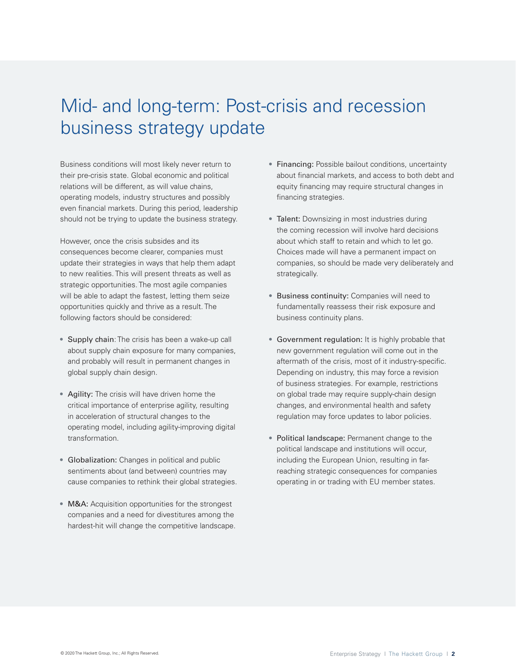# Mid- and long-term: Post-crisis and recession business strategy update

Business conditions will most likely never return to their pre-crisis state. Global economic and political relations will be different, as will value chains, operating models, industry structures and possibly even financial markets. During this period, leadership should not be trying to update the business strategy.

However, once the crisis subsides and its consequences become clearer, companies must update their strategies in ways that help them adapt to new realities. This will present threats as well as strategic opportunities. The most agile companies will be able to adapt the fastest, letting them seize opportunities quickly and thrive as a result. The following factors should be considered:

- Supply chain: The crisis has been a wake-up call about supply chain exposure for many companies, and probably will result in permanent changes in global supply chain design.
- Agility: The crisis will have driven home the critical importance of enterprise agility, resulting in acceleration of structural changes to the operating model, including agility-improving digital transformation.
- Globalization: Changes in political and public sentiments about (and between) countries may cause companies to rethink their global strategies.
- M&A: Acquisition opportunities for the strongest companies and a need for divestitures among the hardest-hit will change the competitive landscape.
- Financing: Possible bailout conditions, uncertainty about financial markets, and access to both debt and equity financing may require structural changes in financing strategies.
- Talent: Downsizing in most industries during the coming recession will involve hard decisions about which staff to retain and which to let go. Choices made will have a permanent impact on companies, so should be made very deliberately and strategically.
- Business continuity: Companies will need to fundamentally reassess their risk exposure and business continuity plans.
- Government regulation: It is highly probable that new government regulation will come out in the aftermath of the crisis, most of it industry-specific. Depending on industry, this may force a revision of business strategies. For example, restrictions on global trade may require supply-chain design changes, and environmental health and safety regulation may force updates to labor policies.
- Political landscape: Permanent change to the political landscape and institutions will occur, including the European Union, resulting in farreaching strategic consequences for companies operating in or trading with EU member states.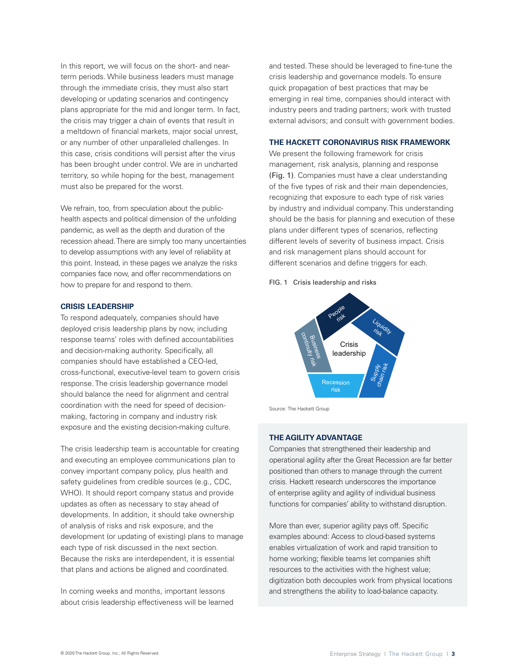In this report, we will focus on the short- and nearterm periods. While business leaders must manage through the immediate crisis, they must also start developing or updating scenarios and contingency plans appropriate for the mid and longer term. In fact, the crisis may trigger a chain of events that result in a meltdown of financial markets, major social unrest, or any number of other unparalleled challenges. In this case, crisis conditions will persist after the virus has been brought under control. We are in uncharted territory, so while hoping for the best, management must also be prepared for the worst.

We refrain, too, from speculation about the publichealth aspects and political dimension of the unfolding pandemic, as well as the depth and duration of the recession ahead. There are simply too many uncertainties to develop assumptions with any level of reliability at this point. Instead, in these pages we analyze the risks companies face now, and offer recommendations on how to prepare for and respond to them.

#### **CRISIS LEADERSHIP**

To respond adequately, companies should have deployed crisis leadership plans by now, including response teams' roles with defined accountabilities and decision-making authority. Specifically, all companies should have established a CEO-led, cross-functional, executive-level team to govern crisis response. The crisis leadership governance model should balance the need for alignment and central coordination with the need for speed of decisionmaking, factoring in company and industry risk exposure and the existing decision-making culture.

The crisis leadership team is accountable for creating and executing an employee communications plan to convey important company policy, plus health and safety guidelines from credible sources (e.g., CDC, WHO). It should report company status and provide updates as often as necessary to stay ahead of developments. In addition, it should take ownership of analysis of risks and risk exposure, and the development (or updating of existing) plans to manage each type of risk discussed in the next section. Because the risks are interdependent, it is essential that plans and actions be aligned and coordinated.

In coming weeks and months, important lessons about crisis leadership effectiveness will be learned and tested. These should be leveraged to fine-tune the crisis leadership and governance models. To ensure quick propagation of best practices that may be emerging in real time, companies should interact with industry peers and trading partners; work with trusted external advisors; and consult with government bodies.

#### **THE HACKETT CORONAVIRUS RISK FRAMEWORK**

We present the following framework for crisis management, risk analysis, planning and response (Fig. 1). Companies must have a clear understanding of the five types of risk and their main dependencies, recognizing that exposure to each type of risk varies by industry and individual company. This understanding should be the basis for planning and execution of these plans under different types of scenarios, reflecting different levels of severity of business impact. Crisis and risk management plans should account for different scenarios and define triggers for each.

#### FIG. 1 Crisis leadership and risks



Source: The Hackett Group

#### **THE AGILITY ADVANTAGE**

Companies that strengthened their leadership and operational agility after the Great Recession are far better positioned than others to manage through the current crisis. Hackett research underscores the importance of enterprise agility and agility of individual business functions for companies' ability to withstand disruption.

More than ever, superior agility pays off. Specific examples abound: Access to cloud-based systems enables virtualization of work and rapid transition to home working; flexible teams let companies shift resources to the activities with the highest value; digitization both decouples work from physical locations and strengthens the ability to load-balance capacity.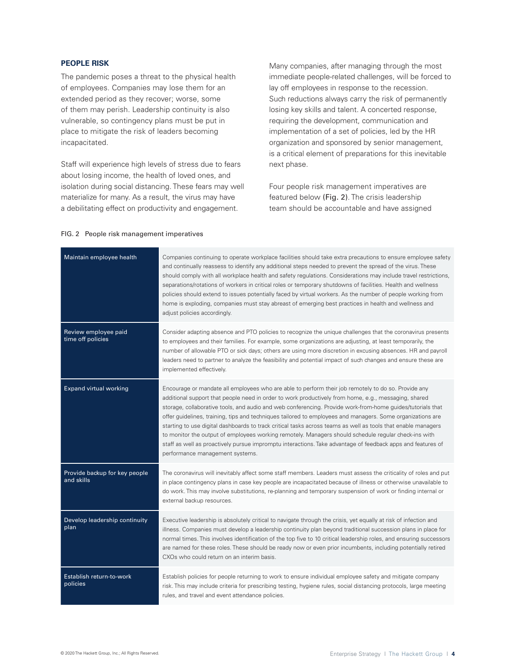# **PEOPLE RISK**

The pandemic poses a threat to the physical health of employees. Companies may lose them for an extended period as they recover; worse, some of them may perish. Leadership continuity is also vulnerable, so contingency plans must be put in place to mitigate the risk of leaders becoming incapacitated.

Staff will experience high levels of stress due to fears about losing income, the health of loved ones, and isolation during social distancing. These fears may well materialize for many. As a result, the virus may have a debilitating effect on productivity and engagement.

Many companies, after managing through the most immediate people-related challenges, will be forced to lay off employees in response to the recession. Such reductions always carry the risk of permanently losing key skills and talent. A concerted response, requiring the development, communication and implementation of a set of policies, led by the HR organization and sponsored by senior management, is a critical element of preparations for this inevitable next phase.

Four people risk management imperatives are featured below (Fig. 2). The crisis leadership team should be accountable and have assigned

#### FIG. 2 People risk management imperatives

| Maintain employee health                    | Companies continuing to operate workplace facilities should take extra precautions to ensure employee safety<br>and continually reassess to identify any additional steps needed to prevent the spread of the virus. These<br>should comply with all workplace health and safety regulations. Considerations may include travel restrictions,<br>separations/rotations of workers in critical roles or temporary shutdowns of facilities. Health and wellness<br>policies should extend to issues potentially faced by virtual workers. As the number of people working from<br>home is exploding, companies must stay abreast of emerging best practices in health and wellness and<br>adjust policies accordingly.                                                                                               |
|---------------------------------------------|--------------------------------------------------------------------------------------------------------------------------------------------------------------------------------------------------------------------------------------------------------------------------------------------------------------------------------------------------------------------------------------------------------------------------------------------------------------------------------------------------------------------------------------------------------------------------------------------------------------------------------------------------------------------------------------------------------------------------------------------------------------------------------------------------------------------|
| Review employee paid<br>time off policies   | Consider adapting absence and PTO policies to recognize the unique challenges that the coronavirus presents<br>to employees and their families. For example, some organizations are adjusting, at least temporarily, the<br>number of allowable PTO or sick days; others are using more discretion in excusing absences. HR and payroll<br>leaders need to partner to analyze the feasibility and potential impact of such changes and ensure these are<br>implemented effectively.                                                                                                                                                                                                                                                                                                                                |
| <b>Expand virtual working</b>               | Encourage or mandate all employees who are able to perform their job remotely to do so. Provide any<br>additional support that people need in order to work productively from home, e.g., messaging, shared<br>storage, collaborative tools, and audio and web conferencing. Provide work-from-home guides/tutorials that<br>offer guidelines, training, tips and techniques tailored to employees and managers. Some organizations are<br>starting to use digital dashboards to track critical tasks across teams as well as tools that enable managers<br>to monitor the output of employees working remotely. Managers should schedule regular check-ins with<br>staff as well as proactively pursue impromptu interactions. Take advantage of feedback apps and features of<br>performance management systems. |
| Provide backup for key people<br>and skills | The coronavirus will inevitably affect some staff members. Leaders must assess the criticality of roles and put<br>in place contingency plans in case key people are incapacitated because of illness or otherwise unavailable to<br>do work. This may involve substitutions, re-planning and temporary suspension of work or finding internal or<br>external backup resources.                                                                                                                                                                                                                                                                                                                                                                                                                                    |
| Develop leadership continuity<br>plan       | Executive leadership is absolutely critical to navigate through the crisis, yet equally at risk of infection and<br>illness. Companies must develop a leadership continuity plan beyond traditional succession plans in place for<br>normal times. This involves identification of the top five to 10 critical leadership roles, and ensuring successors<br>are named for these roles. These should be ready now or even prior incumbents, including potentially retired<br>CXOs who could return on an interim basis.                                                                                                                                                                                                                                                                                             |
| Establish return-to-work<br>policies        | Establish policies for people returning to work to ensure individual employee safety and mitigate company<br>risk. This may include criteria for prescribing testing, hygiene rules, social distancing protocols, large meeting<br>rules, and travel and event attendance policies.                                                                                                                                                                                                                                                                                                                                                                                                                                                                                                                                |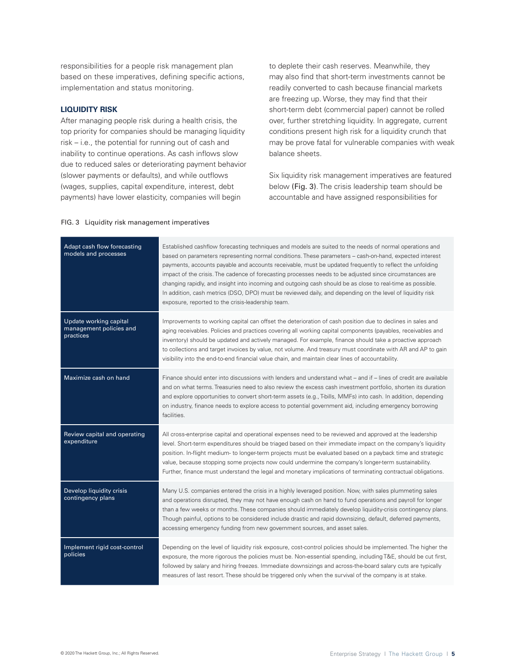responsibilities for a people risk management plan based on these imperatives, defining specific actions, implementation and status monitoring.

### **LIQUIDITY RISK**

After managing people risk during a health crisis, the top priority for companies should be managing liquidity risk – i.e., the potential for running out of cash and inability to continue operations. As cash inflows slow due to reduced sales or deteriorating payment behavior (slower payments or defaults), and while outflows (wages, supplies, capital expenditure, interest, debt payments) have lower elasticity, companies will begin

to deplete their cash reserves. Meanwhile, they may also find that short-term investments cannot be readily converted to cash because financial markets are freezing up. Worse, they may find that their short-term debt (commercial paper) cannot be rolled over, further stretching liquidity. In aggregate, current conditions present high risk for a liquidity crunch that may be prove fatal for vulnerable companies with weak balance sheets.

Six liquidity risk management imperatives are featured below (Fig. 3). The crisis leadership team should be accountable and have assigned responsibilities for

### FIG. 3 Liquidity risk management imperatives

| Adapt cash flow forecasting<br>models and processes            | Established cashflow forecasting techniques and models are suited to the needs of normal operations and<br>based on parameters representing normal conditions. These parameters - cash-on-hand, expected interest<br>payments, accounts payable and accounts receivable, must be updated frequently to reflect the unfolding<br>impact of the crisis. The cadence of forecasting processes needs to be adjusted since circumstances are<br>changing rapidly, and insight into incoming and outgoing cash should be as close to real-time as possible.<br>In addition, cash metrics (DSO, DPO) must be reviewed daily, and depending on the level of liquidity risk<br>exposure, reported to the crisis-leadership team. |
|----------------------------------------------------------------|-------------------------------------------------------------------------------------------------------------------------------------------------------------------------------------------------------------------------------------------------------------------------------------------------------------------------------------------------------------------------------------------------------------------------------------------------------------------------------------------------------------------------------------------------------------------------------------------------------------------------------------------------------------------------------------------------------------------------|
| Update working capital<br>management policies and<br>practices | Improvements to working capital can offset the deterioration of cash position due to declines in sales and<br>aging receivables. Policies and practices covering all working capital components (payables, receivables and<br>inventory) should be updated and actively managed. For example, finance should take a proactive approach<br>to collections and target invoices by value, not volume. And treasury must coordinate with AR and AP to gain<br>visibility into the end-to-end financial value chain, and maintain clear lines of accountability.                                                                                                                                                             |
| Maximize cash on hand                                          | Finance should enter into discussions with lenders and understand what - and if - lines of credit are available<br>and on what terms. Treasuries need to also review the excess cash investment portfolio, shorten its duration<br>and explore opportunities to convert short-term assets (e.g., T-bills, MMFs) into cash. In addition, depending<br>on industry, finance needs to explore access to potential government aid, including emergency borrowing<br>facilities.                                                                                                                                                                                                                                             |
| Review capital and operating<br>expenditure                    | All cross-enterprise capital and operational expenses need to be reviewed and approved at the leadership<br>level. Short-term expenditures should be triaged based on their immediate impact on the company's liquidity<br>position. In-flight medium- to longer-term projects must be evaluated based on a payback time and strategic<br>value, because stopping some projects now could undermine the company's longer-term sustainability.<br>Further, finance must understand the legal and monetary implications of terminating contractual obligations.                                                                                                                                                           |
| Develop liquidity crisis<br>contingency plans                  | Many U.S. companies entered the crisis in a highly leveraged position. Now, with sales plummeting sales<br>and operations disrupted, they may not have enough cash on hand to fund operations and payroll for longer<br>than a few weeks or months. These companies should immediately develop liquidity-crisis contingency plans.<br>Though painful, options to be considered include drastic and rapid downsizing, default, deferred payments,<br>accessing emergency funding from new government sources, and asset sales.                                                                                                                                                                                           |
| Implement rigid cost-control<br>policies                       | Depending on the level of liquidity risk exposure, cost-control policies should be implemented. The higher the<br>exposure, the more rigorous the policies must be. Non-essential spending, including T&E, should be cut first,<br>followed by salary and hiring freezes. Immediate downsizings and across-the-board salary cuts are typically<br>measures of last resort. These should be triggered only when the survival of the company is at stake.                                                                                                                                                                                                                                                                 |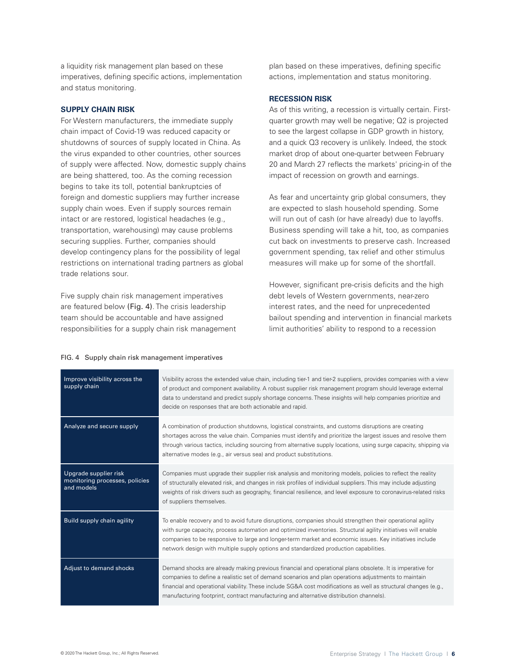a liquidity risk management plan based on these imperatives, defining specific actions, implementation and status monitoring.

#### **SUPPLY CHAIN RISK**

For Western manufacturers, the immediate supply chain impact of Covid-19 was reduced capacity or shutdowns of sources of supply located in China. As the virus expanded to other countries, other sources of supply were affected. Now, domestic supply chains are being shattered, too. As the coming recession begins to take its toll, potential bankruptcies of foreign and domestic suppliers may further increase supply chain woes. Even if supply sources remain intact or are restored, logistical headaches (e.g., transportation, warehousing) may cause problems securing supplies. Further, companies should develop contingency plans for the possibility of legal restrictions on international trading partners as global trade relations sour.

Five supply chain risk management imperatives are featured below (Fig. 4). The crisis leadership team should be accountable and have assigned responsibilities for a supply chain risk management

plan based on these imperatives, defining specific actions, implementation and status monitoring.

## **RECESSION RISK**

As of this writing, a recession is virtually certain. Firstquarter growth may well be negative; Q2 is projected to see the largest collapse in GDP growth in history, and a quick Q3 recovery is unlikely. Indeed, the stock market drop of about one-quarter between February 20 and March 27 reflects the markets' pricing-in of the impact of recession on growth and earnings.

As fear and uncertainty grip global consumers, they are expected to slash household spending. Some will run out of cash (or have already) due to layoffs. Business spending will take a hit, too, as companies cut back on investments to preserve cash. Increased government spending, tax relief and other stimulus measures will make up for some of the shortfall.

However, significant pre-crisis deficits and the high debt levels of Western governments, near-zero interest rates, and the need for unprecedented bailout spending and intervention in financial markets limit authorities' ability to respond to a recession

| Improve visibility across the<br>supply chain                         | Visibility across the extended value chain, including tier-1 and tier-2 suppliers, provides companies with a view<br>of product and component availability. A robust supplier risk management program should leverage external<br>data to understand and predict supply shortage concerns. These insights will help companies prioritize and<br>decide on responses that are both actionable and rapid.                        |
|-----------------------------------------------------------------------|--------------------------------------------------------------------------------------------------------------------------------------------------------------------------------------------------------------------------------------------------------------------------------------------------------------------------------------------------------------------------------------------------------------------------------|
| Analyze and secure supply                                             | A combination of production shutdowns, logistical constraints, and customs disruptions are creating<br>shortages across the value chain. Companies must identify and prioritize the largest issues and resolve them<br>through various tactics, including sourcing from alternative supply locations, using surge capacity, shipping via<br>alternative modes (e.g., air versus sea) and product substitutions.                |
| Upgrade supplier risk<br>monitoring processes, policies<br>and models | Companies must upgrade their supplier risk analysis and monitoring models, policies to reflect the reality<br>of structurally elevated risk, and changes in risk profiles of individual suppliers. This may include adjusting<br>weights of risk drivers such as geography, financial resilience, and level exposure to coronavirus-related risks<br>of suppliers themselves.                                                  |
| Build supply chain agility                                            | To enable recovery and to avoid future disruptions, companies should strengthen their operational agility<br>with surge capacity, process automation and optimized inventories. Structural agility initiatives will enable<br>companies to be responsive to large and longer-term market and economic issues. Key initiatives include<br>network design with multiple supply options and standardized production capabilities. |
| Adjust to demand shocks                                               | Demand shocks are already making previous financial and operational plans obsolete. It is imperative for<br>companies to define a realistic set of demand scenarios and plan operations adjustments to maintain<br>financial and operational viability. These include SG&A cost modifications as well as structural changes (e.g.,<br>manufacturing footprint, contract manufacturing and alternative distribution channels).  |

#### FIG. 4 Supply chain risk management imperatives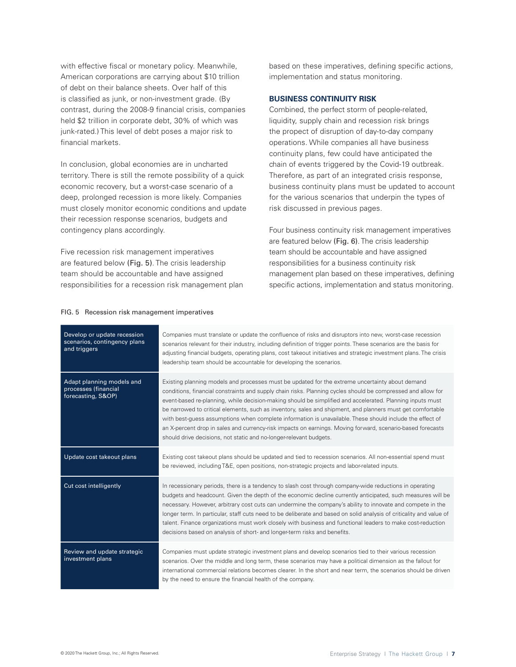with effective fiscal or monetary policy. Meanwhile, American corporations are carrying about \$10 trillion of debt on their balance sheets. Over half of this is classified as junk, or non-investment grade. (By contrast, during the 2008-9 financial crisis, companies held \$2 trillion in corporate debt, 30% of which was junk-rated.) This level of debt poses a major risk to financial markets.

In conclusion, global economies are in uncharted territory. There is still the remote possibility of a quick economic recovery, but a worst-case scenario of a deep, prolonged recession is more likely. Companies must closely monitor economic conditions and update their recession response scenarios, budgets and contingency plans accordingly.

Five recession risk management imperatives are featured below (Fig. 5). The crisis leadership team should be accountable and have assigned responsibilities for a recession risk management plan based on these imperatives, defining specific actions, implementation and status monitoring.

## **BUSINESS CONTINUITY RISK**

Combined, the perfect storm of people-related, liquidity, supply chain and recession risk brings the propect of disruption of day-to-day company operations. While companies all have business continuity plans, few could have anticipated the chain of events triggered by the Covid-19 outbreak. Therefore, as part of an integrated crisis response, business continuity plans must be updated to account for the various scenarios that underpin the types of risk discussed in previous pages.

Four business continuity risk management imperatives are featured below (Fig. 6). The crisis leadership team should be accountable and have assigned responsibilities for a business continuity risk management plan based on these imperatives, defining specific actions, implementation and status monitoring.

| Develop or update recession<br>scenarios, contingency plans<br>and triggers | Companies must translate or update the confluence of risks and disruptors into new, worst-case recession<br>scenarios relevant for their industry, including definition of trigger points. These scenarios are the basis for<br>adjusting financial budgets, operating plans, cost takeout initiatives and strategic investment plans. The crisis<br>leadership team should be accountable for developing the scenarios.                                                                                                                                                                                                                                                                                                                   |
|-----------------------------------------------------------------------------|--------------------------------------------------------------------------------------------------------------------------------------------------------------------------------------------------------------------------------------------------------------------------------------------------------------------------------------------------------------------------------------------------------------------------------------------------------------------------------------------------------------------------------------------------------------------------------------------------------------------------------------------------------------------------------------------------------------------------------------------|
| Adapt planning models and<br>processes (financial<br>forecasting, S&OP)     | Existing planning models and processes must be updated for the extreme uncertainty about demand<br>conditions, financial constraints and supply chain risks. Planning cycles should be compressed and allow for<br>event-based re-planning, while decision-making should be simplified and accelerated. Planning inputs must<br>be narrowed to critical elements, such as inventory, sales and shipment, and planners must get comfortable<br>with best-guess assumptions when complete information is unavailable. These should include the effect of<br>an X-percent drop in sales and currency-risk impacts on earnings. Moving forward, scenario-based forecasts<br>should drive decisions, not static and no-longer-relevant budgets. |
| Update cost takeout plans                                                   | Existing cost takeout plans should be updated and tied to recession scenarios. All non-essential spend must<br>be reviewed, including T&E, open positions, non-strategic projects and labor-related inputs.                                                                                                                                                                                                                                                                                                                                                                                                                                                                                                                                |
| Cut cost intelligently                                                      | In recessionary periods, there is a tendency to slash cost through company-wide reductions in operating<br>budgets and headcount. Given the depth of the economic decline currently anticipated, such measures will be<br>necessary. However, arbitrary cost cuts can undermine the company's ability to innovate and compete in the<br>longer term. In particular, staff cuts need to be deliberate and based on solid analysis of criticality and value of<br>talent. Finance organizations must work closely with business and functional leaders to make cost-reduction<br>decisions based on analysis of short- and longer-term risks and benefits.                                                                                   |
| Review and update strategic<br>investment plans                             | Companies must update strategic investment plans and develop scenarios tied to their various recession<br>scenarios. Over the middle and long term, these scenarios may have a political dimension as the fallout for<br>international commercial relations becomes clearer. In the short and near term, the scenarios should be driven<br>by the need to ensure the financial health of the company.                                                                                                                                                                                                                                                                                                                                      |

#### FIG. 5 Recession risk management imperatives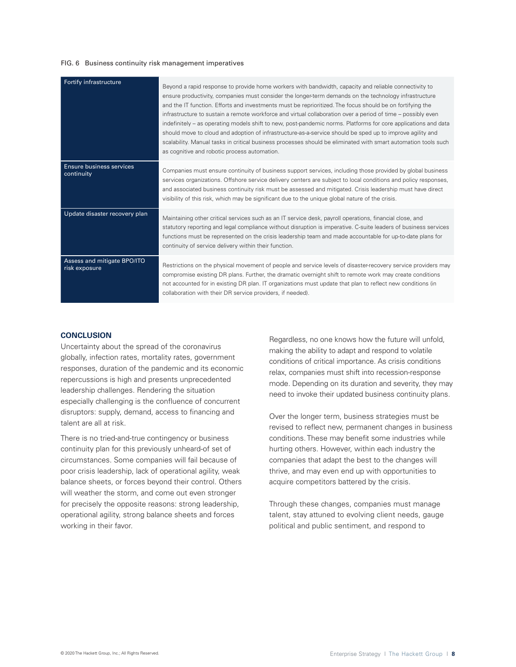#### FIG. 6 Business continuity risk management imperatives

| Fortify infrastructure                       | Beyond a rapid response to provide home workers with bandwidth, capacity and reliable connectivity to<br>ensure productivity, companies must consider the longer-term demands on the technology infrastructure<br>and the IT function. Efforts and investments must be reprioritized. The focus should be on fortifying the<br>infrastructure to sustain a remote workforce and virtual collaboration over a period of time – possibly even<br>indefinitely – as operating models shift to new, post-pandemic norms. Platforms for core applications and data<br>should move to cloud and adoption of infrastructure-as-a-service should be sped up to improve agility and<br>scalability. Manual tasks in critical business processes should be eliminated with smart automation tools such<br>as cognitive and robotic process automation. |
|----------------------------------------------|----------------------------------------------------------------------------------------------------------------------------------------------------------------------------------------------------------------------------------------------------------------------------------------------------------------------------------------------------------------------------------------------------------------------------------------------------------------------------------------------------------------------------------------------------------------------------------------------------------------------------------------------------------------------------------------------------------------------------------------------------------------------------------------------------------------------------------------------|
| Ensure business services<br>continuity       | Companies must ensure continuity of business support services, including those provided by global business<br>services organizations. Offshore service delivery centers are subject to local conditions and policy responses,<br>and associated business continuity risk must be assessed and mitigated. Crisis leadership must have direct<br>visibility of this risk, which may be significant due to the unique global nature of the crisis.                                                                                                                                                                                                                                                                                                                                                                                              |
| Update disaster recovery plan                | Maintaining other critical services such as an IT service desk, payroll operations, financial close, and<br>statutory reporting and legal compliance without disruption is imperative. C-suite leaders of business services<br>functions must be represented on the crisis leadership team and made accountable for up-to-date plans for<br>continuity of service delivery within their function.                                                                                                                                                                                                                                                                                                                                                                                                                                            |
| Assess and mitigate BPO/ITO<br>risk exposure | Restrictions on the physical movement of people and service levels of disaster-recovery service providers may<br>compromise existing DR plans. Further, the dramatic overnight shift to remote work may create conditions<br>not accounted for in existing DR plan. IT organizations must update that plan to reflect new conditions (in<br>collaboration with their DR service providers, if needed).                                                                                                                                                                                                                                                                                                                                                                                                                                       |

#### **CONCLUSION**

Uncertainty about the spread of the coronavirus globally, infection rates, mortality rates, government responses, duration of the pandemic and its economic repercussions is high and presents unprecedented leadership challenges. Rendering the situation especially challenging is the confluence of concurrent disruptors: supply, demand, access to financing and talent are all at risk.

There is no tried-and-true contingency or business continuity plan for this previously unheard-of set of circumstances. Some companies will fail because of poor crisis leadership, lack of operational agility, weak balance sheets, or forces beyond their control. Others will weather the storm, and come out even stronger for precisely the opposite reasons: strong leadership, operational agility, strong balance sheets and forces working in their favor.

Regardless, no one knows how the future will unfold, making the ability to adapt and respond to volatile conditions of critical importance. As crisis conditions relax, companies must shift into recession-response mode. Depending on its duration and severity, they may need to invoke their updated business continuity plans.

Over the longer term, business strategies must be revised to reflect new, permanent changes in business conditions. These may benefit some industries while hurting others. However, within each industry the companies that adapt the best to the changes will thrive, and may even end up with opportunities to acquire competitors battered by the crisis.

Through these changes, companies must manage talent, stay attuned to evolving client needs, gauge political and public sentiment, and respond to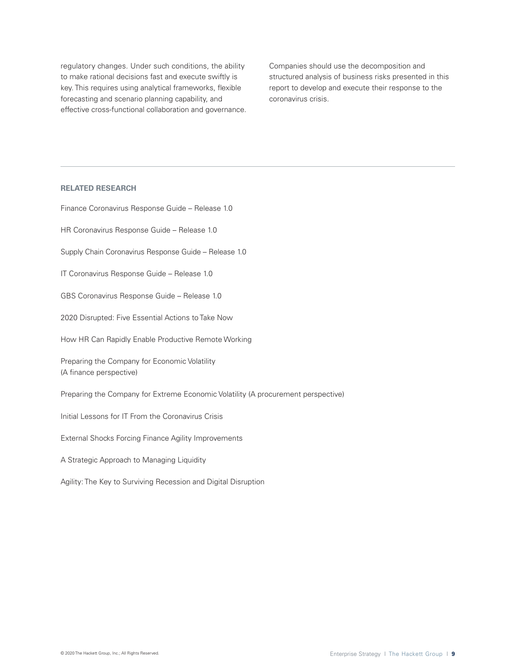regulatory changes. Under such conditions, the ability to make rational decisions fast and execute swiftly is key. This requires using analytical frameworks, flexible forecasting and scenario planning capability, and effective cross-functional collaboration and governance. Companies should use the decomposition and structured analysis of business risks presented in this report to develop and execute their response to the coronavirus crisis.

# **RELATED RESEARCH**

Finance Coronavirus Response Guide – Release 1.0 HR Coronavirus Response Guide – Release 1.0 Supply Chain Coronavirus Response Guide – Release 1.0 IT Coronavirus Response Guide – Release 1.0 GBS Coronavirus Response Guide – Release 1.0 2020 Disrupted: Five Essential Actions to Take Now How HR Can Rapidly Enable Productive Remote Working Preparing the Company for Economic Volatility (A finance perspective) Preparing the Company for Extreme Economic Volatility (A procurement perspective) Initial Lessons for IT From the Coronavirus Crisis External Shocks Forcing Finance Agility Improvements A Strategic Approach to Managing Liquidity Agility: The Key to Surviving Recession and Digital Disruption